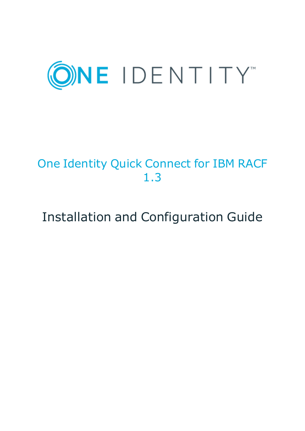

# One Identity Quick Connect for IBM RACF 1.3

# Installation and Configuration Guide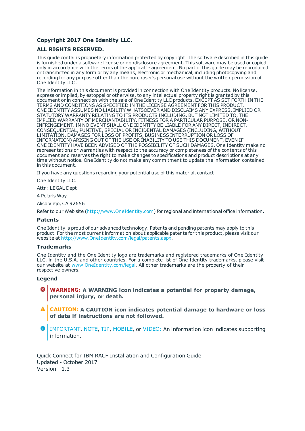#### **Copyright 2017 One Identity LLC.**

#### **ALL RIGHTS RESERVED.**

This guide contains proprietary information protected by copyright. The software described in this guide is furnished under a software license or nondisclosure agreement. This software may be used or copied only in accordance with the terms of the applicable agreement. No part of this guide may be reproduced or transmitted in any form or by any means, electronic or mechanical, including photocopying and recording for any purpose other than the purchaser's personal use without the written permission of One Identity LLC .

The information in this document is provided in connection with One Identity products. No license, express or implied, by estoppel or otherwise, to any intellectual property right is granted by this document or in connection with the sale of One Identity LLC products. EXCEPT AS SET FORTH IN THE TERMS AND CONDITIONS AS SPECIFIED IN THE LICENSE AGREEMENT FOR THIS PRODUCT, ONE IDENTITY ASSUMES NO LIABILITY WHATSOEVER AND DISCLAIMS ANY EXPRESS, IMPLIED OR STATUTORY WARRANTY RELATING TO ITS PRODUCTS INCLUDING, BUT NOT LIMITED TO, THE IMPLIED WARRANTY OF MERCHANTABILITY, FITNESS FOR A PARTICULAR PURPOSE, OR NON-INFRINGEMENT. IN NO EVENT SHALL ONE IDENTITY BE LIABLE FOR ANY DIRECT, INDIRECT, CONSEQUENTIAL, PUNITIVE, SPECIAL OR INCIDENTAL DAMAGES (INCLUDING, WITHOUT LIMITATION, DAMAGES FOR LOSS OF PROFITS, BUSINESS INTERRUPTION OR LOSS OF INFORMATION) ARISING OUT OF THE USE OR INABILITY TO USE THIS DOCUMENT, EVEN IF ONE IDENTITY HAVE BEEN ADVISED OF THE POSSIBILITY OF SUCH DAMAGES. One Identity make no representations or warranties with respect to the accuracy or completeness of the contents of this document and reserves the right to make changes to specifications and product descriptions at any time without notice. One Identity do not make any commitment to update the information contained in this document.

If you have any questions regarding your potential use of this material, contact:

One Identity LLC.

Attn: LEGAL Dept

4 Polaris Way

Aliso Viejo, CA 92656

Refer to our Web site ([http://www.OneIdentity.com](http://www.oneidentity.com/)) for regional and international office information.

#### **Patents**

One Identity is proud of our advanced technology. Patents and pending patents may apply to this product. For the most current information about applicable patents for this product, please visit our website at [http://www.OneIdentity.com/legal/patents.aspx](http://www.oneidentity.com/legal/patents.aspx).

#### **Trademarks**

One Identity and the One Identity logo are trademarks and registered trademarks of One Identity LLC. in the U.S.A. and other countries. For a complete list of One Identity trademarks, please visit our website at [www.OneIdentity.com/legal](http://www.oneidentity.com/legal). All other trademarks are the property of their respective owners.

#### **Legend**

- **WARNING: A WARNING icon indicates a potential for property damage, personal injury, or death.**
- **CAUTION: A CAUTION icon indicates potential damage to hardware or loss of data if instructions are not followed.**
- Œ IMPORTANT, NOTE, TIP, MOBILE, or VIDEO: An information icon indicates supporting information.

Quick Connect for IBM RACF Installation and Configuration Guide Updated - October 2017 Version - 1.3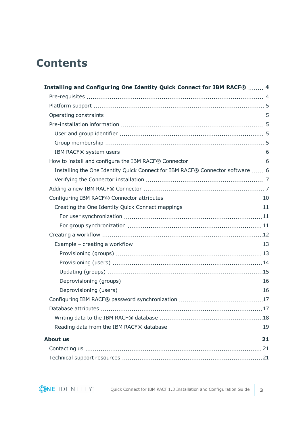## **Contents**

| Installing and Configuring One Identity Quick Connect for IBM RACF®  4        |  |
|-------------------------------------------------------------------------------|--|
|                                                                               |  |
|                                                                               |  |
|                                                                               |  |
|                                                                               |  |
|                                                                               |  |
|                                                                               |  |
|                                                                               |  |
|                                                                               |  |
| Installing the One Identity Quick Connect for IBM RACF® Connector software  6 |  |
|                                                                               |  |
|                                                                               |  |
|                                                                               |  |
|                                                                               |  |
|                                                                               |  |
|                                                                               |  |
|                                                                               |  |
|                                                                               |  |
|                                                                               |  |
|                                                                               |  |
|                                                                               |  |
|                                                                               |  |
|                                                                               |  |
|                                                                               |  |
|                                                                               |  |
|                                                                               |  |
|                                                                               |  |
|                                                                               |  |
|                                                                               |  |
|                                                                               |  |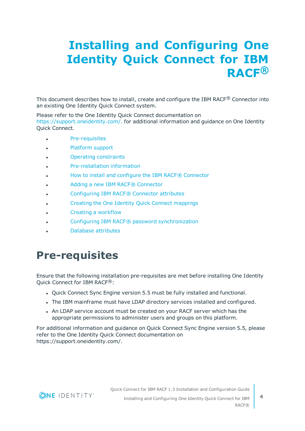# <span id="page-3-0"></span>**Installing and Configuring One Identity Quick Connect for IBM RACF®**

This document describes how to install, create and configure the IBM RACF® Connector into an existing One Identity Quick Connect system.

Please refer to the One Identity Quick Connect documentation on [https://support.oneidentity.com/.](https://support.oneidentity.com/) for additional information and guidance on One Identity Quick Connect.

- [Pre-requisites](#page-3-1)
- **.** [Platform](#page-4-0) support
- **Operating [constraints](#page-4-1)**
- [Pre-installation](#page-4-2) information
- **.** How to install and configure the IBM RACF® Connector
- Adding a new IBM RACF® Connector
- **.** [Configuring](#page-9-0) IBM RACF® Connector attributes
- Creating the One Identity Quick Connect [mappings](#page-10-0)
- <sup>l</sup> Creating a [workflow](#page-11-0)
- **.** Configuring IBM RACF® password [synchronization](#page-16-0)
- Database [attributes](#page-16-1)

## <span id="page-3-1"></span>**Pre-requisites**

Ensure that the following installation pre-requisites are met before installing One Identity Quick Connect for IBM RACF®:

- Quick Connect Sync Engine version 5.5 must be fully installed and functional.
- The IBM mainframe must have LDAP directory services installed and configured.
- An LDAP service account must be created on your RACF server which has the appropriate permissions to administer users and groups on this platform.

For additional information and guidance on Quick Connect Sync Engine version 5.5, please refer to the One Identity Quick Connect documentation on https://support.oneidentity.com/.

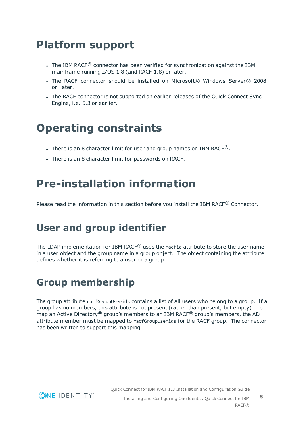## <span id="page-4-0"></span>**Platform support**

- The IBM RACF<sup>®</sup> connector has been verified for synchronization against the IBM mainframe running z/OS 1.8 (and RACF 1.8) or later.
- The RACF connector should be installed on Microsoft® Windows Server® 2008 or later.
- The RACF connector is not supported on earlier releases of the Quick Connect Sync Engine, i.e. 5.3 or earlier.

## <span id="page-4-1"></span>**Operating constraints**

- There is an 8 character limit for user and group names on IBM RACF $\textcircled{\tiny B}$ .
- There is an 8 character limit for passwords on RACF.

## <span id="page-4-2"></span>**Pre-installation information**

<span id="page-4-3"></span>Please read the information in this section before you install the IBM RACF<sup>®</sup> Connector.

### **User and group identifier**

The LDAP implementation for IBM RACF<sup>®</sup> uses the racfid attribute to store the user name in a user object and the group name in a group object. The object containing the attribute defines whether it is referring to a user or a group.

### <span id="page-4-4"></span>**Group membership**

The group attribute racfGroupUserids contains a list of all users who belong to a group. If a group has no members, this attribute is not present (rather than present, but empty). To map an Active Directory® group's members to an IBM RACF® group's members, the AD attribute member must be mapped to racfGroupUserids for the RACF group. The connector has been written to support this mapping.



Quick Connect for IBM RACF 1.3 Installation and Configuration Guide Installing and Configuring One Identity Quick Connect for IBM

RACF®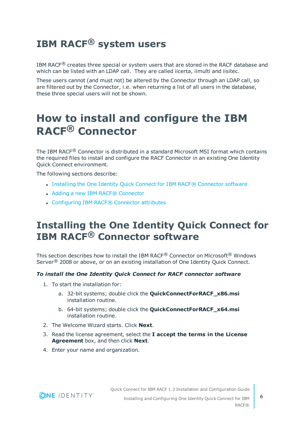### <span id="page-5-0"></span>**IBM RACF® system users**

IBM RACF $<sup>®</sup>$  creates three special or system users that are stored in the RACF database and</sup> which can be listed with an LDAP call. They are called iicerta, iimulti and iisitec.

These users cannot (and must not) be altered by the Connector through an LDAP call, so are filtered out by the Connector, i.e. when returning a list of all users in the database, these three special users will not be shown.

## <span id="page-5-1"></span>**How to install and configure the IBM RACF® Connector**

The IBM RACF® Connector is distributed in a standard Microsoft MSI format which contains the required files to install and configure the RACF Connector in an existing One Identity Quick Connect environment.

The following sections describe:

- Installing the One Identity Quick Connect for IBM RACF® [Connector](#page-5-2) software
- . Adding a new IBM RACF® [Connector](#page-6-1)
- [Configuring](#page-9-0) IBM RACF® Connector attributes

### <span id="page-5-2"></span>**Installing the One Identity Quick Connect for IBM RACF® Connector software**

This section describes how to install the IBM RACF<sup>®</sup> Connector on Microsoft<sup>®</sup> Windows Server<sup>®</sup> 2008 or above, or on an existing installation of One Identity Quick Connect.

#### *To install the One Identity Quick Connect for RACF connector software*

- 1. To start the installation for:
	- a. 32-bit systems; double click the **QuickConnectForRACF\_x86.msi** installation routine.
	- b. 64-bit systems; double click the **QuickConnectForRACF\_x64.msi** installation routine.
- 2. The Welcome Wizard starts. Click **Next**.
- 3. Read the license agreement, select the **I accept the terms in the License Agreement** box, and then click **Next**.
- 4. Enter your name and organization.

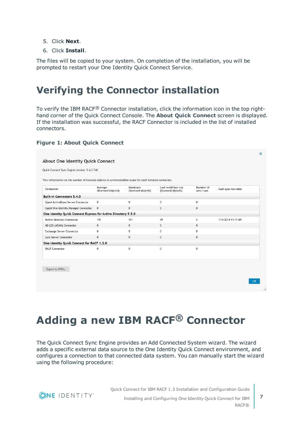- <span id="page-6-2"></span>5. Click **Next**.
- 6. Click **Install**.

The files will be copied to your system. On completion of the installation, you will be prompted to restart your One Identity Quick Connect Service.

### <span id="page-6-0"></span>**Verifying the Connector installation**

To verify the IBM RACF® Connector installation, click the information icon in the top righthand corner of the Quick Connect Console. The **About Quick Connect** screen is displayed. If the installation was successful, the RACF Connector is included in the list of installed connectors.

#### **Figure 1: About Quick Connect**

| Quick Connect Sync Engine version: 5.4.0.740                                                              |                               |                               |                                         |                        |                    |  |
|-----------------------------------------------------------------------------------------------------------|-------------------------------|-------------------------------|-----------------------------------------|------------------------|--------------------|--|
| View information on the number of licensed objects in synchronization scope for each installed connector. |                               |                               |                                         |                        |                    |  |
| Connector                                                                                                 | Average<br>(licensed objects) | Maximum<br>(licensed objects) | Last workflow run<br>(licensed objects) | Number of<br>sync runs | Last sync run date |  |
| Built-in Connectors 5.4.0                                                                                 |                               |                               |                                         |                        |                    |  |
| Quest ActiveRoles Server Connector                                                                        | $\Omega$                      | 0                             | 0                                       | 0                      |                    |  |
| Quest One Identity Manager Connector                                                                      | $\Omega$                      | $\mathbf{0}$                  | $\mathbf{0}$                            | $\mathbf{0}$           |                    |  |
| One Identity Quick Connect Express for Active Directory 5.5.0                                             |                               |                               |                                         |                        |                    |  |
| Active Directory Connector                                                                                | 191                           | 191                           | 49                                      | 2                      | 7/4/2014 11:11 AM  |  |
| AD LDS (ADAM) Connector                                                                                   | $\Omega$                      | $\mathbf{0}$                  | $\Omega$                                | $\Omega$               |                    |  |
| Exchange Server Connector                                                                                 | $\mathbf{0}$                  | 0                             | $\mathbf{0}$                            | $\mathbf{0}$           |                    |  |
| Lync Server Connector                                                                                     | $\mathbf{0}$                  | $\mathbf 0$                   | $\mathbf 0$                             | $\mathbf{0}$           |                    |  |
| One Identity Quick Connect for RACF 1.2.0                                                                 |                               |                               |                                         |                        |                    |  |
| <b>RACF Connector</b>                                                                                     | $^{\circ}$                    | 0                             | $^{\circ}$                              | $^{\circ}$             |                    |  |
|                                                                                                           |                               |                               |                                         |                        |                    |  |
| Export to HTML.                                                                                           |                               |                               |                                         |                        |                    |  |

## <span id="page-6-1"></span>**Adding a new IBM RACF® Connector**

The Quick Connect Sync Engine provides an Add Connected System wizard. The wizard adds a specific external data source to the One Identity Quick Connect environment, and configures a connection to that connected data system. You can manually start the wizard using the following procedure:

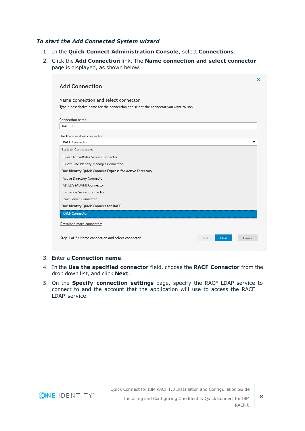#### *To start the Add Connected System wizard*

- 1. In the **Quick Connect Administration Console**, select **Connections**.
- 2. Click the **Add Connection** link. The **Name connection and select connector** page is displayed, as shown below.

| <b>Add Connection</b>                                                                |                     | ×      |
|--------------------------------------------------------------------------------------|---------------------|--------|
| Name connection and select connector                                                 |                     |        |
| Type a descriptive name for the connection and select the connector you want to use. |                     |        |
| Connection name:                                                                     |                     |        |
| <b>RACF 1.13</b>                                                                     |                     |        |
| Use the specified connector:                                                         |                     |        |
| <b>RACF Connector</b>                                                                |                     | ▼      |
| <b>Built-in Connectors</b>                                                           |                     |        |
| Quest ActiveRoles Server Connector                                                   |                     |        |
| Quest One Identity Manager Connector                                                 |                     |        |
| One Identity Quick Connect Express for Active Directory                              |                     |        |
| Active Directory Connector                                                           |                     |        |
| AD LDS (ADAM) Connector                                                              |                     |        |
| Exchange Server Connector                                                            |                     |        |
| Lync Server Connector                                                                |                     |        |
| One Identity Quick Connect for RACF                                                  |                     |        |
| <b>RACF Connector</b>                                                                |                     |        |
| Download more connectors                                                             |                     |        |
|                                                                                      |                     |        |
| Step 1 of 2 : Name connection and select connector                                   | Back<br><b>Next</b> | Cancel |
|                                                                                      |                     |        |

- 3. Enter a **Connection name**.
- 4. In the **Use the specified connector** field, choose the **RACF Connector** from the drop down list, and click **Next**.
- 5. On the **Specify connection settings** page, specify the RACF LDAP service to connect to and the account that the application will use to access the RACF LDAP service.



RACF®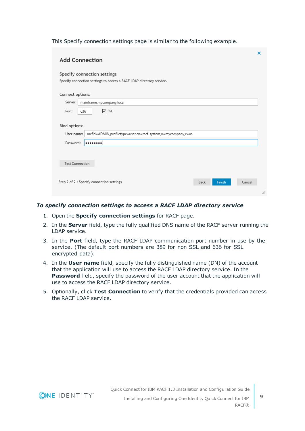This Specify connection settings page is similar to the following example.

| <b>Add Connection</b>                                                                               |                | ×      |
|-----------------------------------------------------------------------------------------------------|----------------|--------|
| Specify connection settings<br>Specify connection settings to access a RACF LDAP directory service. |                |        |
| Connect options:                                                                                    |                |        |
| Server:<br>mainframe.mycompany.local                                                                |                |        |
| $\sqrt{S}$<br>Port:<br>636                                                                          |                |        |
| Bind options:<br>racfid=ADMIN,profiletype=user,cn=racf-system,o=mycompany,c=us<br>User name:        |                |        |
| Password:<br>                                                                                       |                |        |
|                                                                                                     |                |        |
| <b>Test Connection</b>                                                                              |                |        |
|                                                                                                     |                |        |
| Step 2 of 2 : Specify connection settings                                                           | Finish<br>Back | Cancel |
|                                                                                                     |                |        |

#### *To specify connection settings to access a RACF LDAP directory service*

- 1. Open the **Specify connection settings** for RACF page.
- 2. In the **Server** field, type the fully qualified DNS name of the RACF server running the LDAP service.
- 3. In the **Port** field, type the RACF LDAP communication port number in use by the service. (The default port numbers are 389 for non SSL and 636 for SSL encrypted data).
- 4. In the **User name** field, specify the fully distinguished name (DN) of the account that the application will use to access the RACF LDAP directory service. In the **Password** field, specify the password of the user account that the application will use to access the RACF LDAP directory service.
- 5. Optionally, click **Test Connection** to verify that the credentials provided can access the RACF LDAP service.

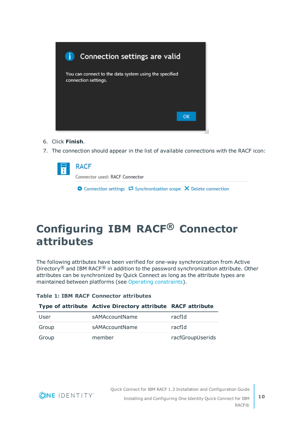

- 6. Click **Finish**.
- 7. The connection should appear in the list of available connections with the RACF icon:

| $\frac{1}{i}$ RACF             |                                                                                              |  |  |
|--------------------------------|----------------------------------------------------------------------------------------------|--|--|
| Connector used: RACF Connector |                                                                                              |  |  |
|                                | $\clubsuit$ Connection settings $\clubsuit$ Synchronization scope $\times$ Delete connection |  |  |

## <span id="page-9-0"></span>**Configuring IBM RACF® Connector attributes**

The following attributes have been verified for one-way synchronization from Active Directory® and IBM RACF® in addition to the password synchronization attribute. Other attributes can be synchronized by Quick Connect as long as the attribute types are maintained between platforms (see Operating [constraints](#page-4-1)).

| <b>Table 1: IBM RACF Connector attributes</b> |
|-----------------------------------------------|
|-----------------------------------------------|

|       | Type of attribute Active Directory attribute RACF attribute |                  |
|-------|-------------------------------------------------------------|------------------|
| User  | sAMAccountName                                              | racfId           |
| Group | sAMAccountName                                              | racfId           |
| Group | member                                                      | racfGroupUserids |

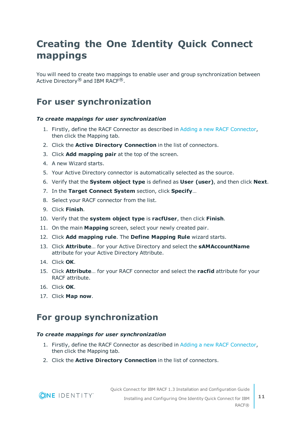### <span id="page-10-0"></span>**Creating the One Identity Quick Connect mappings**

You will need to create two mappings to enable user and group synchronization between Active Directory® and IBM RACF®.

### <span id="page-10-1"></span>**For user synchronization**

#### *To create mappings for user synchronization*

- 1. Firstly, define the RACF Connector as described in Adding a new RACF [Connector](#page-6-2), then click the Mapping tab.
- 2. Click the **Active Directory Connection** in the list of connectors.
- 3. Click **Add mapping pair** at the top of the screen.
- 4. A new Wizard starts.
- 5. Your Active Directory connector is automatically selected as the source.
- 6. Verify that the **System object type** is defined as **User (user)**, and then click **Next**.
- 7. In the **Target Connect System** section, click **Specify**…
- 8. Select your RACF connector from the list.
- 9. Click **Finish**.
- 10. Verify that the **system object type** is **racfUser**, then click **Finish**.
- 11. On the main **Mapping** screen, select your newly created pair.
- 12. Click **Add mapping rule**. The **Define Mapping Rule** wizard starts.
- 13. Click **Attribute**… for your Active Directory and select the **sAMAccountName** attribute for your Active Directory Attribute.
- 14. Click **OK**.
- 15. Click **Attribute**… for your RACF connector and select the **racfid** attribute for your RACF attribute.
- 16. Click **OK**.
- <span id="page-10-2"></span>17. Click **Map now**.

### **For group synchronization**

#### *To create mappings for user synchronization*

- 1. Firstly, define the RACF Connector as described in Adding a new RACF [Connector](#page-6-2), then click the Mapping tab.
- 2. Click the **Active Directory Connection** in the list of connectors.

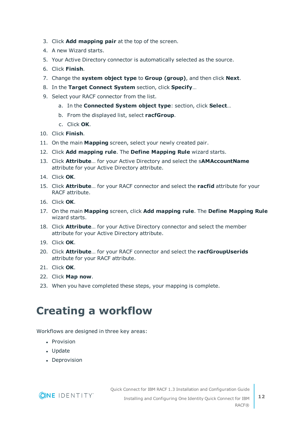- 3. Click **Add mapping pair** at the top of the screen.
- 4. A new Wizard starts.
- 5. Your Active Directory connector is automatically selected as the source.
- 6. Click **Finish**.
- 7. Change the **system object type** to **Group (group)**, and then click **Next**.
- 8. In the **Target Connect System** section, click **Specify**…
- 9. Select your RACF connector from the list.
	- a. In the **Connected System object type**: section, click **Select**…
	- b. From the displayed list, select **racfGroup**.
	- c. Click **OK**.
- 10. Click **Finish**.
- 11. On the main **Mapping** screen, select your newly created pair.
- 12. Click **Add mapping rule**. The **Define Mapping Rule** wizard starts.
- 13. Click **Attribute**… for your Active Directory and select the s**AMAccountName** attribute for your Active Directory attribute.
- 14. Click **OK**.
- 15. Click **Attribute**… for your RACF connector and select the **racfid** attribute for your RACF attribute.
- 16. Click **OK**.
- 17. On the main **Mapping** screen, click **Add mapping rule**. The **Define Mapping Rule** wizard starts.
- 18. Click **Attribute**… for your Active Directory connector and select the member attribute for your Active Directory attribute.
- 19. Click **OK**.
- 20. Click **Attribute**… for your RACF connector and select the **racfGroupUserids** attribute for your RACF attribute.
- 21. Click **OK**.
- 22. Click **Map now**.
- <span id="page-11-0"></span>23. When you have completed these steps, your mapping is complete.

## **Creating a workflow**

Workflows are designed in three key areas:

- Provision
- Update
- Deprovision



Quick Connect for IBM RACF 1.3 Installation and Configuration Guide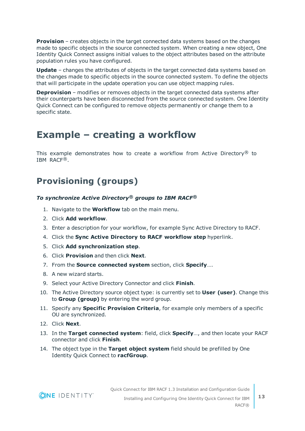**Provision** – creates objects in the target connected data systems based on the changes made to specific objects in the source connected system. When creating a new object, One Identity Quick Connect assigns initial values to the object attributes based on the attribute population rules you have configured.

**Update** – changes the attributes of objects in the target connected data systems based on the changes made to specific objects in the source connected system. To define the objects that will participate in the update operation you can use object mapping rules.

**Deprovision** – modifies or removes objects in the target connected data systems after their counterparts have been disconnected from the source connected system. One Identity Quick Connect can be configured to remove objects permanently or change them to a specific state.

### <span id="page-12-0"></span>**Example – creating a workflow**

This example demonstrates how to create a workflow from Active Directory<sup>®</sup> to IBM RACF®.

### <span id="page-12-1"></span>**Provisioning (groups)**

#### *To synchronize Active Directory® groups to IBM RACF®*

- 1. Navigate to the **Workflow** tab on the main menu.
- 2. Click **Add workflow**.
- 3. Enter a description for your workflow, for example Sync Active Directory to RACF.
- 4. Click the **Sync Active Directory to RACF workflow step** hyperlink.
- 5. Click **Add synchronization step**.
- 6. Click **Provision** and then click **Next**.
- 7. From the **Source connected system** section, click **Specify**….
- 8. A new wizard starts.
- 9. Select your Active Directory Connector and click **Finish**.
- 10. The Active Directory source object type: is currently set to **User (user)**. Change this to **Group (group)** by entering the word group.
- 11. Specify any **Specific Provision Criteria**, for example only members of a specific OU are synchronized.
- 12. Click **Next**.
- 13. In the **Target connected system**: field, click **Specify**…, and then locate your RACF connector and click **Finish**.
- 14. The object type in the **Target object system** field should be prefilled by One Identity Quick Connect to **racfGroup**.

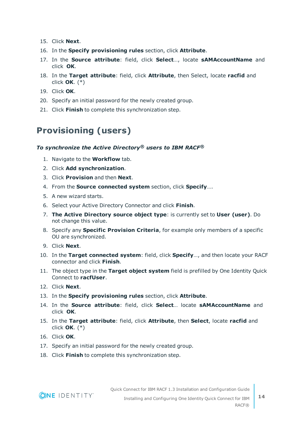- 15. Click **Next**.
- 16. In the **Specify provisioning rules** section, click **Attribute**.
- 17. In the **Source attribute**: field, click **Select**…, locate **sAMAccountName** and click **OK**.
- 18. In the **Target attribute**: field, click **Attribute**, then Select, locate **racfid** and click **OK**. (\*)
- 19. Click **OK**.
- 20. Specify an initial password for the newly created group.
- <span id="page-13-0"></span>21. Click **Finish** to complete this synchronization step.

### **Provisioning (users)**

#### *To synchronize the Active Directory® users to IBM RACF®*

- 1. Navigate to the **Workflow** tab.
- 2. Click **Add synchronization**.
- 3. Click **Provision** and then **Next**.
- 4. From the **Source connected system** section, click **Specify**….
- 5. A new wizard starts.
- 6. Select your Active Directory Connector and click **Finish**.
- 7. **The Active Directory source object type**: is currently set to **User (user)**. Do not change this value.
- 8. Specify any **Specific Provision Criteria**, for example only members of a specific OU are synchronized.
- 9. Click **Next**.
- 10. In the **Target connected system**: field, click **Specify**…, and then locate your RACF connector and click **Finish**.
- 11. The object type in the **Target object system** field is prefilled by One Identity Quick Connect to **racfUser**.
- 12. Click **Next**.
- 13. In the **Specify provisioning rules** section, click **Attribute**.
- 14. In the **Source attribute**: field, click **Select**… locate **sAMAccountName** and click **OK**.
- 15. In the **Target attribute**: field, click **Attribute**, then **Select**, locate **racfid** and click **OK**. (\*)
- 16. Click **OK**.
- 17. Specify an initial password for the newly created group.
- 18. Click **Finish** to complete this synchronization step.



Quick Connect for IBM RACF 1.3 Installation and Configuration Guide Installing and Configuring One Identity Quick Connect for IBM

RACF®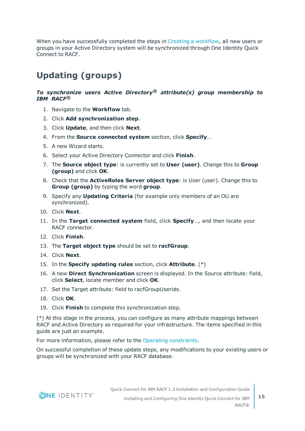When you have successfully completed the steps in Creating a [workflow,](#page-11-0) all new users or groups in your Active Directory system will be synchronized through One Identity Quick Connect to RACF.

### <span id="page-14-0"></span>**Updating (groups)**

#### *To synchronize users Active Directory® attribute(s) group membership to IBM RACF®*

- 1. Navigate to the **Workflow** tab.
- 2. Click **Add synchronization step**.
- 3. Click **Update**, and then click **Next**.
- 4. From the **Source connected system** section, click **Specify**…
- 5. A new Wizard starts.
- 6. Select your Active Directory Connector and click **Finish**.
- 7. The **Source object type**: is currently set to **User (user)**. Change this to **Group (group)** and click **OK**.
- 8. Check that the **ActiveRoles Server object type**: is User (user). Change this to **Group (group)** by typing the word **group**.
- 9. Specify any **Updating Criteria** (for example only members of an OU are synchronized).
- 10. Click **Next**.
- 11. In the **Target connected system** field, click **Specify**…, and then locate your RACF connector.
- 12. Click **Finish**.
- 13. The **Target object type** should be set to **racfGroup**.
- 14. Click **Next**.
- 15. In the **Specify updating rules** section, click **Attribute**. (\*)
- 16. A new **Direct Synchronization** screen is displayed. In the Source attribute: field, click **Select**, locate member and click **OK**.
- 17. Set the Target attribute: field to racfGroupUserids.
- 18. Click **OK**.
- 19. Click **Finish** to complete this synchronization step.

(\*) At this stage in the process, you can configure as many attribute mappings between RACF and Active Directory as required for your infrastructure. The items specified in this guide are just an example.

For more information, please refer to the Operating [constraints.](#page-4-1)

On successful completion of these update steps, any modifications to your existing users or groups will be synchronized with your RACF database.

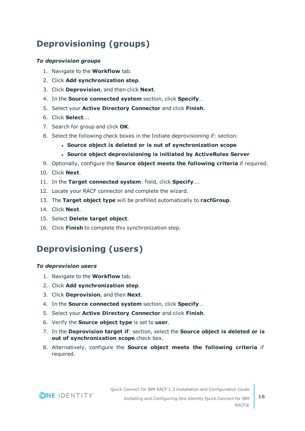### <span id="page-15-0"></span>**Deprovisioning (groups)**

#### *To deprovision groups*

- 1. Navigate to the **Workflow** tab.
- 2. Click **Add synchronization step**.
- 3. Click **Deprovision**, and then click **Next**.
- 4. In the **Source connected system** section, click **Specify**…
- 5. Select your **Active Directory Connector** and click **Finish**.
- 6. Click **Select**….
- 7. Search for group and click **OK**.
- 8. Select the following check boxes in the Initiate deprovisioning if: section:
	- <sup>l</sup> **Source object is deleted or is out of synchronization scope**
	- <sup>l</sup> **Source object deprovisioning is initiated by ActiveRoles Server**
- 9. Optionally, configure the **Source object meets the following criteria** if required.
- 10. Click **Next**.
- 11. In the **Target connected system**: field, click **Specify**….
- 12. Locate your RACF connector and complete the wizard.
- 13. The **Target object type** will be prefilled automatically to **racfGroup**.
- 14. Click **Next**.
- 15. Select **Delete target object**.
- <span id="page-15-1"></span>16. Click **Finish** to complete this synchronization step.

### **Deprovisioning (users)**

#### *To deprovision users*

- 1. Navigate to the **Workflow** tab.
- 2. Click **Add synchronization step**.
- 3. Click **Deprovision**, and then **Next**.
- 4. In the **Source connected system** section, click **Specify**…
- 5. Select your **Active Directory Connector** and click **Finish**.
- 6. Verify the **Source object type** is set to **user**.
- 7. In the **Deprovision target if**: section, select the **Source object is deleted or is out of synchronization scope** check box.
- 8. Alternatively, configure the **Source object meets the following criteria** if required.

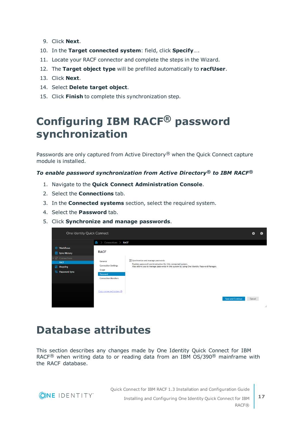- 9. Click **Next**.
- 10. In the **Target connected system**: field, click **Specify**….
- 11. Locate your RACF connector and complete the steps in the Wizard.
- 12. The **Target object type** will be prefilled automatically to **racfUser**.
- 13. Click **Next**.
- 14. Select **Delete target object**.
- <span id="page-16-0"></span>15. Click **Finish** to complete this synchronization step.

## **Configuring IBM RACF® password synchronization**

Passwords are only captured from Active Directory<sup>®</sup> when the Quick Connect capture module is installed.

#### *To enable password synchronization from Active Directory® to IBM RACF®*

- 1. Navigate to the **Quick Connect Administration Console**.
- 2. Select the **Connections** tab.
- 3. In the **Connected systems** section, select the required system.
- 4. Select the **Password** tab.
- 5. Click **Synchronize and manage passwords**.



## <span id="page-16-1"></span>**Database attributes**

This section describes any changes made by One Identity Quick Connect for IBM RACF<sup>®</sup> when writing data to or reading data from an IBM OS/390<sup>®</sup> mainframe with the RACF database.

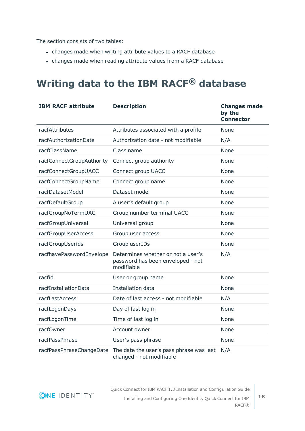The section consists of two tables:

- changes made when writing attribute values to a RACF database
- changes made when reading attribute values from a RACF database

## <span id="page-17-0"></span>**Writing data to the IBM RACF® database**

| <b>IBM RACF attribute</b> | <b>Description</b>                                                                    | <b>Changes made</b><br>by the<br><b>Connector</b> |
|---------------------------|---------------------------------------------------------------------------------------|---------------------------------------------------|
| racfAttributes            | Attributes associated with a profile                                                  | None                                              |
| racfAuthorizationDate     | Authorization date - not modifiable                                                   | N/A                                               |
| racfClassName             | Class name                                                                            | None                                              |
| racfConnectGroupAuthority | Connect group authority                                                               | None                                              |
| racfConnectGroupUACC      | Connect group UACC                                                                    | None                                              |
| racfConnectGroupName      | Connect group name                                                                    | None                                              |
| racfDatasetModel          | Dataset model                                                                         | None                                              |
| racfDefaultGroup          | A user's default group                                                                | None                                              |
| racfGroupNoTermUAC        | Group number terminal UACC                                                            | None                                              |
| racfGroupUniversal        | Universal group                                                                       | None                                              |
| racfGroupUserAccess       | Group user access                                                                     | None                                              |
| racfGroupUserids          | Group userIDs                                                                         | None                                              |
| racfhavePasswordEnvelope  | Determines whether or not a user's<br>password has been enveloped - not<br>modifiable | N/A                                               |
| racfid                    | User or group name                                                                    | None                                              |
| racfInstallationData      | Installation data                                                                     | None                                              |
| racfLastAccess            | Date of last access - not modifiable                                                  | N/A                                               |
| racfLogonDays             | Day of last log in                                                                    | None                                              |
| racfLogonTime             | Time of last log in                                                                   | None                                              |
| racfOwner                 | Account owner                                                                         | None                                              |
| racfPassPhrase            | User's pass phrase                                                                    | <b>None</b>                                       |
| racfPassPhraseChangeDate  | The date the user's pass phrase was last<br>changed - not modifiable                  | N/A                                               |

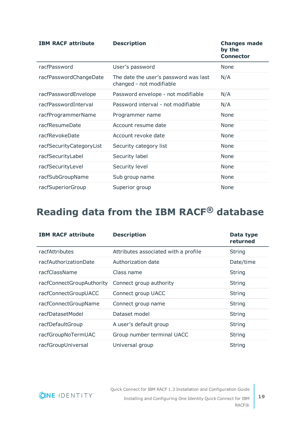| <b>IBM RACF attribute</b> | <b>Description</b>                                                | <b>Changes made</b><br>by the<br><b>Connector</b> |
|---------------------------|-------------------------------------------------------------------|---------------------------------------------------|
| racfPassword              | User's password                                                   | None                                              |
| racfPasswordChangeDate    | The date the user's password was last<br>changed - not modifiable | N/A                                               |
| racfPasswordEnvelope      | Password envelope - not modifiable                                | N/A                                               |
| racfPasswordInterval      | Password interval - not modifiable                                | N/A                                               |
| racfProgrammerName        | Programmer name                                                   | None                                              |
| racfResumeDate            | Account resume date                                               | None                                              |
| racfRevokeDate            | Account revoke date                                               | None                                              |
| racfSecurityCategoryList  | Security category list                                            | None                                              |
| racfSecurityLabel         | Security label                                                    | None                                              |
| racfSecurityLevel         | Security level                                                    | None                                              |
| racfSubGroupName          | Sub group name                                                    | None                                              |
| racfSuperiorGroup         | Superior group                                                    | None                                              |

## <span id="page-18-0"></span>**Reading data from the IBM RACF® database**

| <b>IBM RACF attribute</b> | <b>Description</b>                   | Data type<br>returned |
|---------------------------|--------------------------------------|-----------------------|
| racfAttributes            | Attributes associated with a profile | String                |
| racfAuthorizationDate     | Authorization date                   | Date/time             |
| racfClassName             | Class name                           | <b>String</b>         |
| racfConnectGroupAuthority | Connect group authority              | <b>String</b>         |
| racfConnectGroupUACC      | Connect group UACC                   | <b>String</b>         |
| racfConnectGroupName      | Connect group name                   | <b>String</b>         |
| racfDatasetModel          | Dataset model                        | <b>String</b>         |
| racfDefaultGroup          | A user's default group               | <b>String</b>         |
| racfGroupNoTermUAC        | Group number terminal UACC           | <b>String</b>         |
| racfGroupUniversal        | Universal group                      | String                |

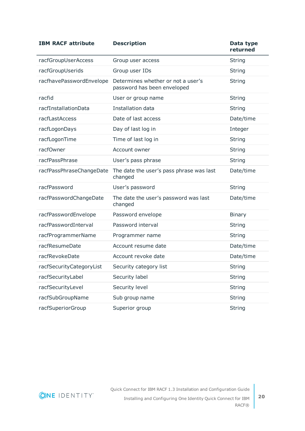| <b>IBM RACF attribute</b> | <b>Description</b>                                                | Data type<br>returned |
|---------------------------|-------------------------------------------------------------------|-----------------------|
| racfGroupUserAccess       | Group user access                                                 | <b>String</b>         |
| racfGroupUserids          | Group user IDs                                                    | <b>String</b>         |
| racfhavePasswordEnvelope  | Determines whether or not a user's<br>password has been enveloped | <b>String</b>         |
| racfid                    | User or group name                                                | <b>String</b>         |
| racfInstallationData      | Installation data                                                 | <b>String</b>         |
| racfLastAccess            | Date of last access                                               | Date/time             |
| racfLogonDays             | Day of last log in                                                | Integer               |
| racfLogonTime             | Time of last log in                                               | <b>String</b>         |
| racfOwner                 | Account owner                                                     | <b>String</b>         |
| racfPassPhrase            | User's pass phrase                                                | <b>String</b>         |
| racfPassPhraseChangeDate  | The date the user's pass phrase was last<br>changed               | Date/time             |
| racfPassword              | User's password                                                   | <b>String</b>         |
| racfPasswordChangeDate    | The date the user's password was last<br>changed                  | Date/time             |
| racfPasswordEnvelope      | Password envelope                                                 | <b>Binary</b>         |
| racfPasswordInterval      | Password interval                                                 | <b>String</b>         |
| racfProgrammerName        | Programmer name                                                   | <b>String</b>         |
| racfResumeDate            | Account resume date                                               | Date/time             |
| racfRevokeDate            | Account revoke date                                               | Date/time             |
| racfSecurityCategoryList  | Security category list                                            | <b>String</b>         |
| racfSecurityLabel         | Security label                                                    | <b>String</b>         |
| racfSecurityLevel         | Security level                                                    | <b>String</b>         |
| racfSubGroupName          | Sub group name                                                    | <b>String</b>         |
| racfSuperiorGroup         | Superior group                                                    | <b>String</b>         |